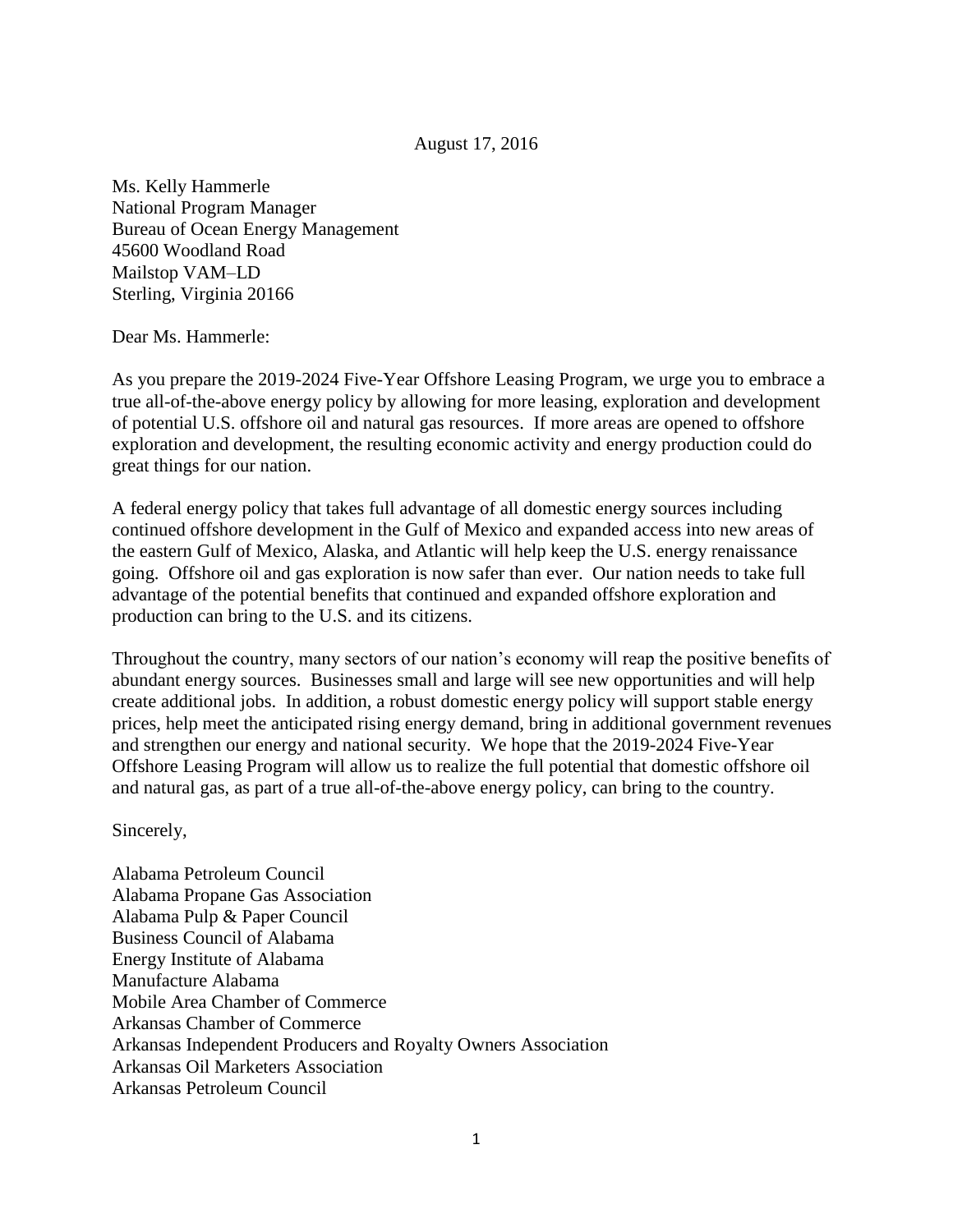## August 17, 2016

Ms. Kelly Hammerle National Program Manager Bureau of Ocean Energy Management 45600 Woodland Road Mailstop VAM–LD Sterling, Virginia 20166

Dear Ms. Hammerle:

As you prepare the 2019-2024 Five-Year Offshore Leasing Program, we urge you to embrace a true all-of-the-above energy policy by allowing for more leasing, exploration and development of potential U.S. offshore oil and natural gas resources. If more areas are opened to offshore exploration and development, the resulting economic activity and energy production could do great things for our nation.

A federal energy policy that takes full advantage of all domestic energy sources including continued offshore development in the Gulf of Mexico and expanded access into new areas of the eastern Gulf of Mexico, Alaska, and Atlantic will help keep the U.S. energy renaissance going. Offshore oil and gas exploration is now safer than ever. Our nation needs to take full advantage of the potential benefits that continued and expanded offshore exploration and production can bring to the U.S. and its citizens.

Throughout the country, many sectors of our nation's economy will reap the positive benefits of abundant energy sources. Businesses small and large will see new opportunities and will help create additional jobs. In addition, a robust domestic energy policy will support stable energy prices, help meet the anticipated rising energy demand, bring in additional government revenues and strengthen our energy and national security. We hope that the 2019-2024 Five-Year Offshore Leasing Program will allow us to realize the full potential that domestic offshore oil and natural gas, as part of a true all-of-the-above energy policy, can bring to the country.

Sincerely,

Alabama Petroleum Council Alabama Propane Gas Association Alabama Pulp & Paper Council Business Council of Alabama Energy Institute of Alabama Manufacture Alabama Mobile Area Chamber of Commerce Arkansas Chamber of Commerce Arkansas Independent Producers and Royalty Owners Association Arkansas Oil Marketers Association Arkansas Petroleum Council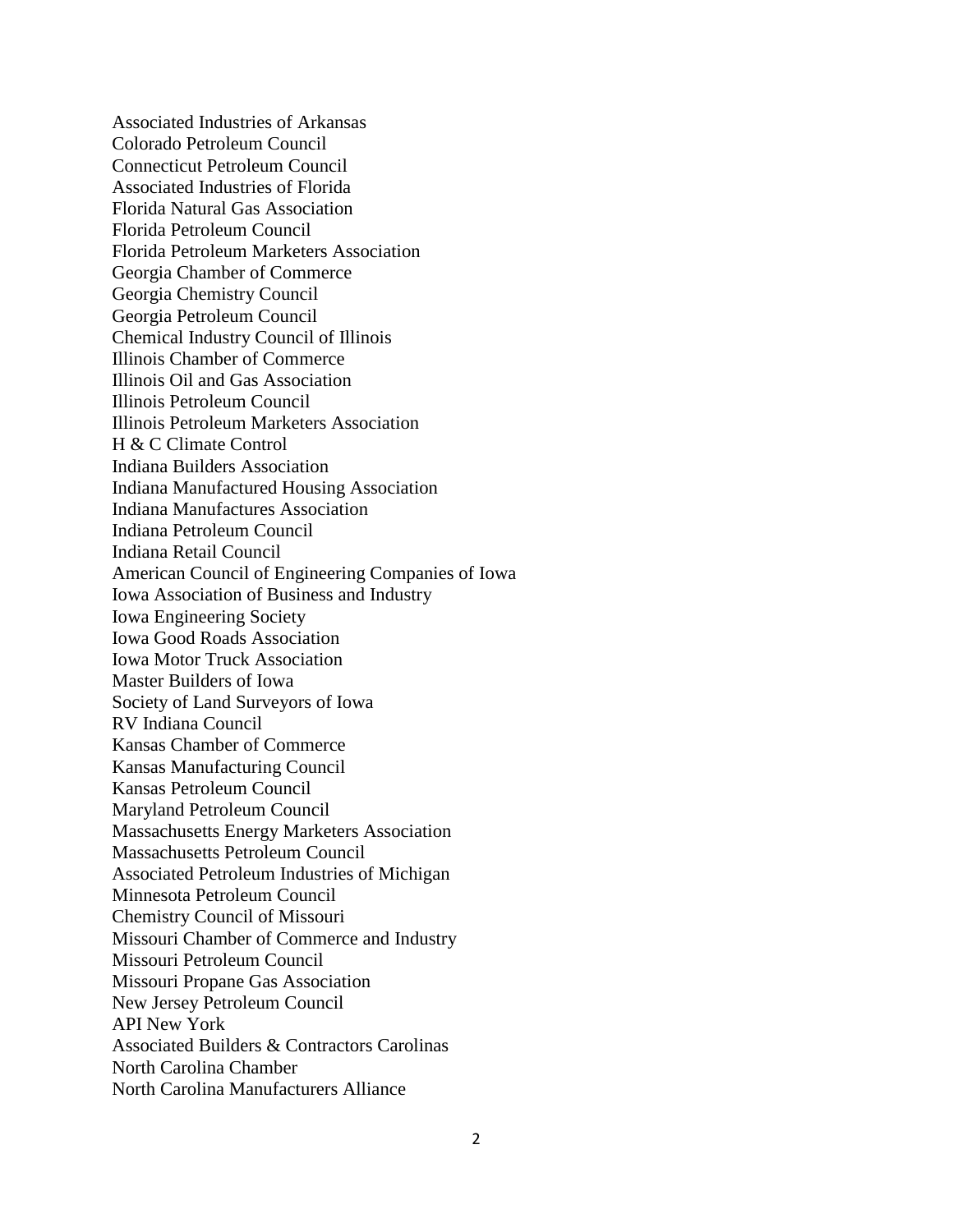Associated Industries of Arkansas Colorado Petroleum Council Connecticut Petroleum Council Associated Industries of Florida Florida Natural Gas Association Florida Petroleum Council Florida Petroleum Marketers Association Georgia Chamber of Commerce Georgia Chemistry Council Georgia Petroleum Council Chemical Industry Council of Illinois Illinois Chamber of Commerce Illinois Oil and Gas Association Illinois Petroleum Council Illinois Petroleum Marketers Association H & C Climate Control Indiana Builders Association Indiana Manufactured Housing Association Indiana Manufactures Association Indiana Petroleum Council Indiana Retail Council American Council of Engineering Companies of Iowa Iowa Association of Business and Industry Iowa Engineering Society Iowa Good Roads Association Iowa Motor Truck Association Master Builders of Iowa Society of Land Surveyors of Iowa RV Indiana Council Kansas Chamber of Commerce Kansas Manufacturing Council Kansas Petroleum Council Maryland Petroleum Council Massachusetts Energy Marketers Association Massachusetts Petroleum Council Associated Petroleum Industries of Michigan Minnesota Petroleum Council Chemistry Council of Missouri Missouri Chamber of Commerce and Industry Missouri Petroleum Council Missouri Propane Gas Association New Jersey Petroleum Council API New York Associated Builders & Contractors Carolinas North Carolina Chamber North Carolina Manufacturers Alliance